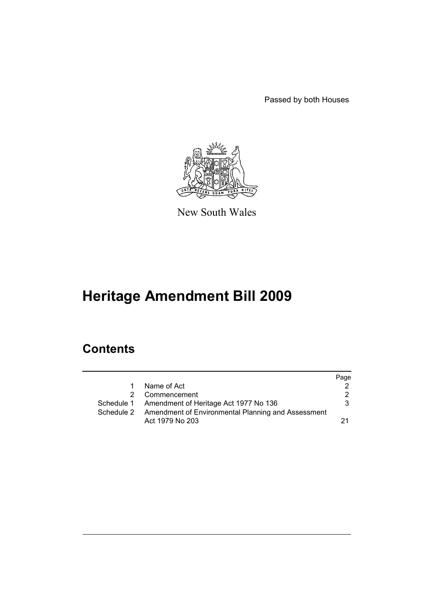Passed by both Houses



New South Wales

# **Heritage Amendment Bill 2009**

# **Contents**

|    |                                                               | Page |
|----|---------------------------------------------------------------|------|
| 1. | Name of Act                                                   |      |
|    | 2 Commencement                                                | 2    |
|    | Schedule 1 Amendment of Heritage Act 1977 No 136              | 3.   |
|    | Schedule 2 Amendment of Environmental Planning and Assessment |      |
|    | Act 1979 No 203                                               |      |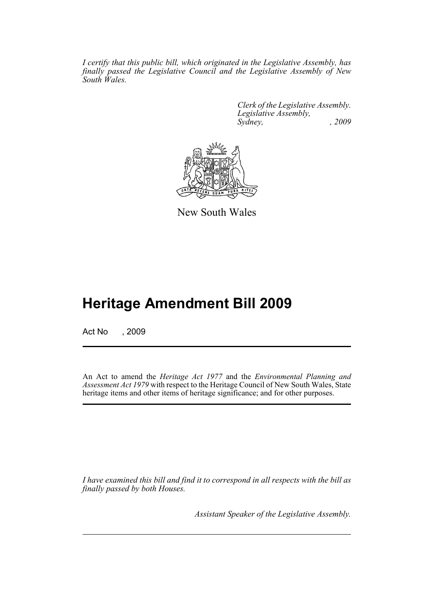*I certify that this public bill, which originated in the Legislative Assembly, has finally passed the Legislative Council and the Legislative Assembly of New South Wales.*

> *Clerk of the Legislative Assembly. Legislative Assembly, Sydney, , 2009*



New South Wales

# **Heritage Amendment Bill 2009**

Act No , 2009

An Act to amend the *Heritage Act 1977* and the *Environmental Planning and Assessment Act 1979* with respect to the Heritage Council of New South Wales, State heritage items and other items of heritage significance; and for other purposes.

*I have examined this bill and find it to correspond in all respects with the bill as finally passed by both Houses.*

*Assistant Speaker of the Legislative Assembly.*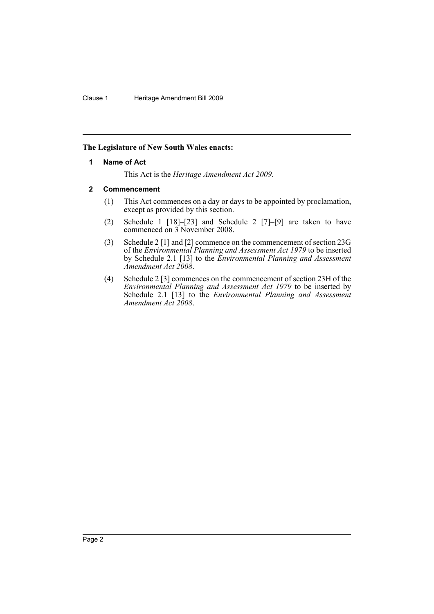# <span id="page-3-0"></span>**The Legislature of New South Wales enacts:**

# **1 Name of Act**

This Act is the *Heritage Amendment Act 2009*.

# <span id="page-3-1"></span>**2 Commencement**

- (1) This Act commences on a day or days to be appointed by proclamation, except as provided by this section.
- (2) Schedule 1 [18]–[23] and Schedule 2 [7]–[9] are taken to have commenced on 3 November 2008.
- (3) Schedule 2 [1] and [2] commence on the commencement of section 23G of the *Environmental Planning and Assessment Act 1979* to be inserted by Schedule 2.1 [13] to the *Environmental Planning and Assessment Amendment Act 2008*.
- (4) Schedule 2 [3] commences on the commencement of section 23H of the *Environmental Planning and Assessment Act 1979* to be inserted by Schedule 2.1 [13] to the *Environmental Planning and Assessment Amendment Act 2008*.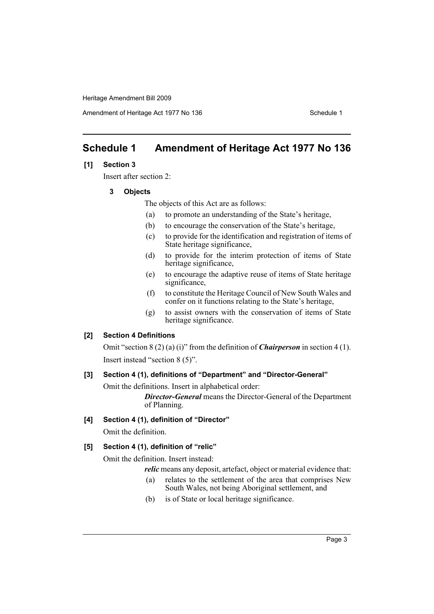Amendment of Heritage Act 1977 No 136 Schedule 1

# <span id="page-4-0"></span>**Schedule 1 Amendment of Heritage Act 1977 No 136**

# **[1] Section 3**

Insert after section 2:

**3 Objects**

The objects of this Act are as follows:

- (a) to promote an understanding of the State's heritage,
- (b) to encourage the conservation of the State's heritage,
- (c) to provide for the identification and registration of items of State heritage significance,
- (d) to provide for the interim protection of items of State heritage significance,
- (e) to encourage the adaptive reuse of items of State heritage significance,
- (f) to constitute the Heritage Council of New South Wales and confer on it functions relating to the State's heritage,
- (g) to assist owners with the conservation of items of State heritage significance.

#### **[2] Section 4 Definitions**

Omit "section 8 (2) (a) (i)" from the definition of *Chairperson* in section 4 (1). Insert instead "section 8 (5)".

#### **[3] Section 4 (1), definitions of "Department" and "Director-General"**

Omit the definitions. Insert in alphabetical order:

*Director-General* means the Director-General of the Department of Planning.

#### **[4] Section 4 (1), definition of "Director"**

Omit the definition.

## **[5] Section 4 (1), definition of "relic"**

Omit the definition. Insert instead:

*relic* means any deposit, artefact, object or material evidence that:

- (a) relates to the settlement of the area that comprises New South Wales, not being Aboriginal settlement, and
- (b) is of State or local heritage significance.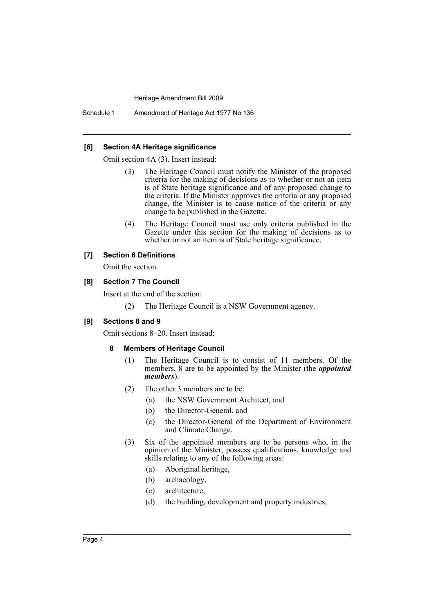Schedule 1 Amendment of Heritage Act 1977 No 136

## **[6] Section 4A Heritage significance**

Omit section 4A (3). Insert instead:

- (3) The Heritage Council must notify the Minister of the proposed criteria for the making of decisions as to whether or not an item is of State heritage significance and of any proposed change to the criteria. If the Minister approves the criteria or any proposed change, the Minister is to cause notice of the criteria or any change to be published in the Gazette.
- (4) The Heritage Council must use only criteria published in the Gazette under this section for the making of decisions as to whether or not an item is of State heritage significance.

# **[7] Section 6 Definitions**

Omit the section.

# **[8] Section 7 The Council**

Insert at the end of the section:

(2) The Heritage Council is a NSW Government agency.

#### **[9] Sections 8 and 9**

Omit sections 8–20. Insert instead:

# **8 Members of Heritage Council**

- (1) The Heritage Council is to consist of 11 members. Of the members, 8 are to be appointed by the Minister (the *appointed members*).
- (2) The other 3 members are to be:
	- (a) the NSW Government Architect, and
	- (b) the Director-General, and
	- (c) the Director-General of the Department of Environment and Climate Change.
- (3) Six of the appointed members are to be persons who, in the opinion of the Minister, possess qualifications, knowledge and skills relating to any of the following areas:
	- (a) Aboriginal heritage,
	- (b) archaeology,
	- (c) architecture,
	- (d) the building, development and property industries,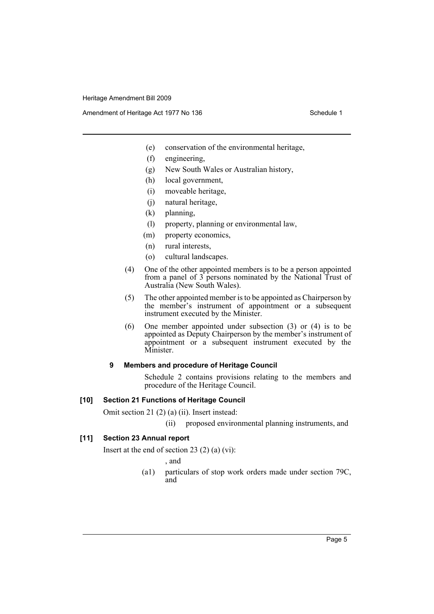Amendment of Heritage Act 1977 No 136 Schedule 1

- (e) conservation of the environmental heritage,
- (f) engineering,
- (g) New South Wales or Australian history,
- (h) local government,
- (i) moveable heritage,
- (j) natural heritage,
- (k) planning,
- (l) property, planning or environmental law,
- (m) property economics,
- (n) rural interests,
- (o) cultural landscapes.
- (4) One of the other appointed members is to be a person appointed from a panel of  $3$  persons nominated by the National Trust of Australia (New South Wales).
- (5) The other appointed member is to be appointed as Chairperson by the member's instrument of appointment or a subsequent instrument executed by the Minister.
- (6) One member appointed under subsection (3) or (4) is to be appointed as Deputy Chairperson by the member's instrument of appointment or a subsequent instrument executed by the Minister.

# **9 Members and procedure of Heritage Council**

Schedule 2 contains provisions relating to the members and procedure of the Heritage Council.

## **[10] Section 21 Functions of Heritage Council**

Omit section 21 (2) (a) (ii). Insert instead:

(ii) proposed environmental planning instruments, and

# **[11] Section 23 Annual report**

Insert at the end of section 23 (2) (a)  $(vi)$ :

, and

(a1) particulars of stop work orders made under section 79C, and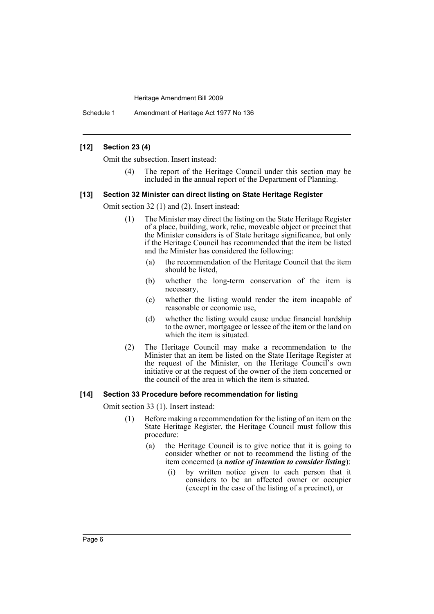Schedule 1 Amendment of Heritage Act 1977 No 136

#### **[12] Section 23 (4)**

Omit the subsection. Insert instead:

(4) The report of the Heritage Council under this section may be included in the annual report of the Department of Planning.

#### **[13] Section 32 Minister can direct listing on State Heritage Register**

Omit section 32 (1) and (2). Insert instead:

- (1) The Minister may direct the listing on the State Heritage Register of a place, building, work, relic, moveable object or precinct that the Minister considers is of State heritage significance, but only if the Heritage Council has recommended that the item be listed and the Minister has considered the following:
	- (a) the recommendation of the Heritage Council that the item should be listed,
	- (b) whether the long-term conservation of the item is necessary,
	- (c) whether the listing would render the item incapable of reasonable or economic use,
	- (d) whether the listing would cause undue financial hardship to the owner, mortgagee or lessee of the item or the land on which the item is situated.
- (2) The Heritage Council may make a recommendation to the Minister that an item be listed on the State Heritage Register at the request of the Minister, on the Heritage Council's own initiative or at the request of the owner of the item concerned or the council of the area in which the item is situated.

#### **[14] Section 33 Procedure before recommendation for listing**

Omit section 33 (1). Insert instead:

- (1) Before making a recommendation for the listing of an item on the State Heritage Register, the Heritage Council must follow this procedure:
	- (a) the Heritage Council is to give notice that it is going to consider whether or not to recommend the listing of the item concerned (a *notice of intention to consider listing*):
		- (i) by written notice given to each person that it considers to be an affected owner or occupier (except in the case of the listing of a precinct), or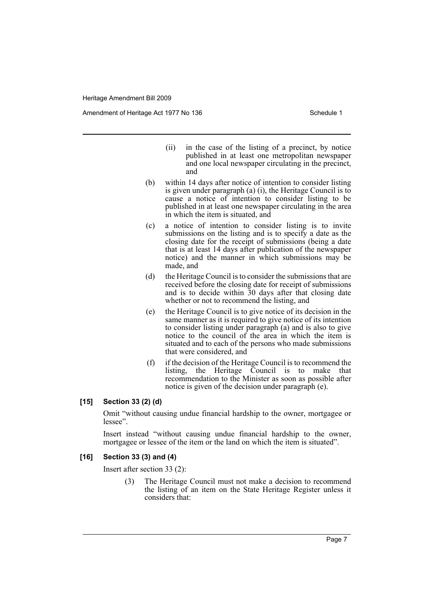Amendment of Heritage Act 1977 No 136 Schedule 1

- (ii) in the case of the listing of a precinct, by notice published in at least one metropolitan newspaper and one local newspaper circulating in the precinct, and
- (b) within 14 days after notice of intention to consider listing is given under paragraph (a) (i), the Heritage Council is to cause a notice of intention to consider listing to be published in at least one newspaper circulating in the area in which the item is situated, and
- (c) a notice of intention to consider listing is to invite submissions on the listing and is to specify a date as the closing date for the receipt of submissions (being a date that is at least 14 days after publication of the newspaper notice) and the manner in which submissions may be made, and
- (d) the Heritage Council is to consider the submissions that are received before the closing date for receipt of submissions and is to decide within 30 days after that closing date whether or not to recommend the listing, and
- (e) the Heritage Council is to give notice of its decision in the same manner as it is required to give notice of its intention to consider listing under paragraph (a) and is also to give notice to the council of the area in which the item is situated and to each of the persons who made submissions that were considered, and
- (f) if the decision of the Heritage Council is to recommend the listing, the Heritage Council is to make that recommendation to the Minister as soon as possible after notice is given of the decision under paragraph (e).

#### **[15] Section 33 (2) (d)**

Omit "without causing undue financial hardship to the owner, mortgagee or lessee".

Insert instead "without causing undue financial hardship to the owner, mortgagee or lessee of the item or the land on which the item is situated".

#### **[16] Section 33 (3) and (4)**

Insert after section 33 (2):

(3) The Heritage Council must not make a decision to recommend the listing of an item on the State Heritage Register unless it considers that: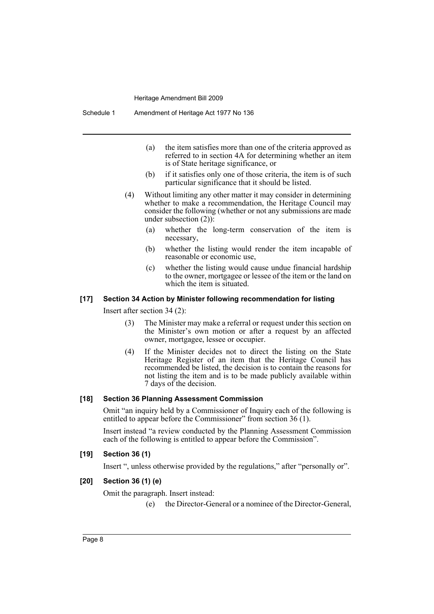- (a) the item satisfies more than one of the criteria approved as referred to in section 4A for determining whether an item is of State heritage significance, or
- (b) if it satisfies only one of those criteria, the item is of such particular significance that it should be listed.
- (4) Without limiting any other matter it may consider in determining whether to make a recommendation, the Heritage Council may consider the following (whether or not any submissions are made under subsection  $(2)$ :
	- (a) whether the long-term conservation of the item is necessary,
	- (b) whether the listing would render the item incapable of reasonable or economic use,
	- (c) whether the listing would cause undue financial hardship to the owner, mortgagee or lessee of the item or the land on which the item is situated.

#### **[17] Section 34 Action by Minister following recommendation for listing**

Insert after section 34 (2):

- (3) The Minister may make a referral or request under this section on the Minister's own motion or after a request by an affected owner, mortgagee, lessee or occupier.
- (4) If the Minister decides not to direct the listing on the State Heritage Register of an item that the Heritage Council has recommended be listed, the decision is to contain the reasons for not listing the item and is to be made publicly available within 7 days of the decision.

#### **[18] Section 36 Planning Assessment Commission**

Omit "an inquiry held by a Commissioner of Inquiry each of the following is entitled to appear before the Commissioner" from section 36 (1).

Insert instead "a review conducted by the Planning Assessment Commission each of the following is entitled to appear before the Commission".

#### **[19] Section 36 (1)**

Insert ", unless otherwise provided by the regulations," after "personally or".

#### **[20] Section 36 (1) (e)**

Omit the paragraph. Insert instead:

(e) the Director-General or a nominee of the Director-General,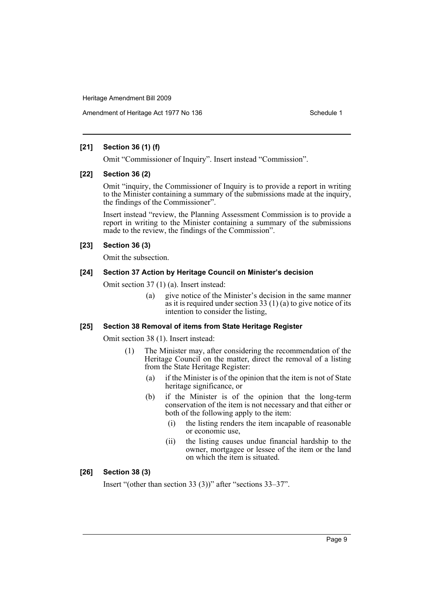# **[21] Section 36 (1) (f)**

Omit "Commissioner of Inquiry". Insert instead "Commission".

#### **[22] Section 36 (2)**

Omit "inquiry, the Commissioner of Inquiry is to provide a report in writing to the Minister containing a summary of the submissions made at the inquiry, the findings of the Commissioner".

Insert instead "review, the Planning Assessment Commission is to provide a report in writing to the Minister containing a summary of the submissions made to the review, the findings of the Commission".

# **[23] Section 36 (3)**

Omit the subsection.

#### **[24] Section 37 Action by Heritage Council on Minister's decision**

Omit section 37 (1) (a). Insert instead:

(a) give notice of the Minister's decision in the same manner as it is required under section 33  $(1)$  (a) to give notice of its intention to consider the listing,

#### **[25] Section 38 Removal of items from State Heritage Register**

Omit section 38 (1). Insert instead:

- (1) The Minister may, after considering the recommendation of the Heritage Council on the matter, direct the removal of a listing from the State Heritage Register:
	- (a) if the Minister is of the opinion that the item is not of State heritage significance, or
	- (b) if the Minister is of the opinion that the long-term conservation of the item is not necessary and that either or both of the following apply to the item:
		- (i) the listing renders the item incapable of reasonable or economic use,
		- (ii) the listing causes undue financial hardship to the owner, mortgagee or lessee of the item or the land on which the item is situated.

# **[26] Section 38 (3)**

Insert "(other than section 33 (3))" after "sections 33–37".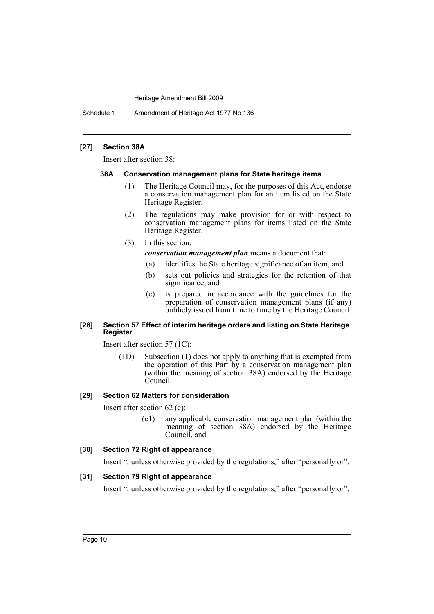Schedule 1 Amendment of Heritage Act 1977 No 136

## **[27] Section 38A**

Insert after section 38:

#### **38A Conservation management plans for State heritage items**

- (1) The Heritage Council may, for the purposes of this Act, endorse a conservation management plan for an item listed on the State Heritage Register.
- (2) The regulations may make provision for or with respect to conservation management plans for items listed on the State Heritage Register.
- (3) In this section:
	- *conservation management plan* means a document that:
		- (a) identifies the State heritage significance of an item, and
		- (b) sets out policies and strategies for the retention of that significance, and
		- (c) is prepared in accordance with the guidelines for the preparation of conservation management plans (if any) publicly issued from time to time by the Heritage Council.

# **[28] Section 57 Effect of interim heritage orders and listing on State Heritage Register**

Insert after section 57 (1C):

(1D) Subsection (1) does not apply to anything that is exempted from the operation of this Part by a conservation management plan (within the meaning of section 38A) endorsed by the Heritage Council.

# **[29] Section 62 Matters for consideration**

Insert after section 62 (c):

(c1) any applicable conservation management plan (within the meaning of section 38A) endorsed by the Heritage Council, and

## **[30] Section 72 Right of appearance**

Insert ", unless otherwise provided by the regulations," after "personally or".

# **[31] Section 79 Right of appearance**

Insert ", unless otherwise provided by the regulations," after "personally or".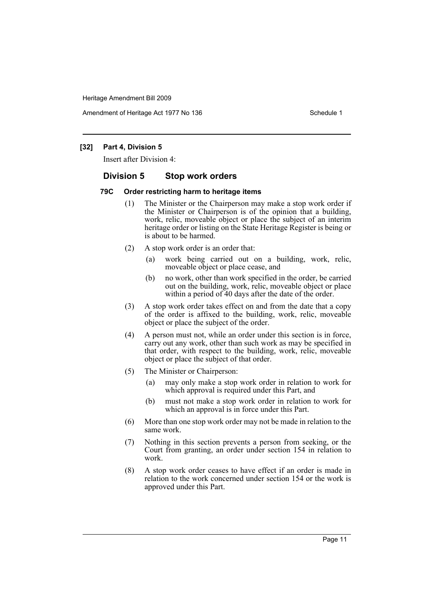Amendment of Heritage Act 1977 No 136 Schedule 1

# **[32] Part 4, Division 5**

Insert after Division 4:

# **Division 5 Stop work orders**

#### **79C Order restricting harm to heritage items**

- (1) The Minister or the Chairperson may make a stop work order if the Minister or Chairperson is of the opinion that a building, work, relic, moveable object or place the subject of an interim heritage order or listing on the State Heritage Register is being or is about to be harmed.
- (2) A stop work order is an order that:
	- (a) work being carried out on a building, work, relic, moveable object or place cease, and
	- (b) no work, other than work specified in the order, be carried out on the building, work, relic, moveable object or place within a period of 40 days after the date of the order.
- (3) A stop work order takes effect on and from the date that a copy of the order is affixed to the building, work, relic, moveable object or place the subject of the order.
- (4) A person must not, while an order under this section is in force, carry out any work, other than such work as may be specified in that order, with respect to the building, work, relic, moveable object or place the subject of that order.
- (5) The Minister or Chairperson:
	- (a) may only make a stop work order in relation to work for which approval is required under this Part, and
	- (b) must not make a stop work order in relation to work for which an approval is in force under this Part.
- (6) More than one stop work order may not be made in relation to the same work.
- (7) Nothing in this section prevents a person from seeking, or the Court from granting, an order under section 154 in relation to work.
- (8) A stop work order ceases to have effect if an order is made in relation to the work concerned under section 154 or the work is approved under this Part.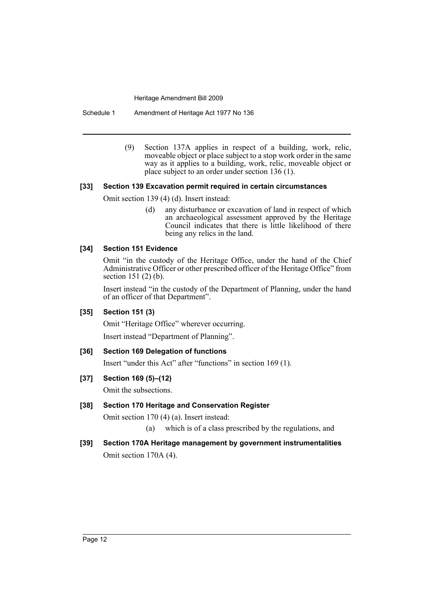Schedule 1 Amendment of Heritage Act 1977 No 136

(9) Section 137A applies in respect of a building, work, relic, moveable object or place subject to a stop work order in the same way as it applies to a building, work, relic, moveable object or place subject to an order under section 136 (1).

# **[33] Section 139 Excavation permit required in certain circumstances**

Omit section 139 (4) (d). Insert instead:

(d) any disturbance or excavation of land in respect of which an archaeological assessment approved by the Heritage Council indicates that there is little likelihood of there being any relics in the land.

# **[34] Section 151 Evidence**

Omit "in the custody of the Heritage Office, under the hand of the Chief Administrative Officer or other prescribed officer of the Heritage Office" from section 151 (2) (b).

Insert instead "in the custody of the Department of Planning, under the hand of an officer of that Department".

#### **[35] Section 151 (3)**

Omit "Heritage Office" wherever occurring.

Insert instead "Department of Planning".

# **[36] Section 169 Delegation of functions**

Insert "under this Act" after "functions" in section 169 (1).

# **[37] Section 169 (5)–(12)**

Omit the subsections.

# **[38] Section 170 Heritage and Conservation Register**

Omit section 170 (4) (a). Insert instead:

- (a) which is of a class prescribed by the regulations, and
- **[39] Section 170A Heritage management by government instrumentalities** Omit section 170A (4).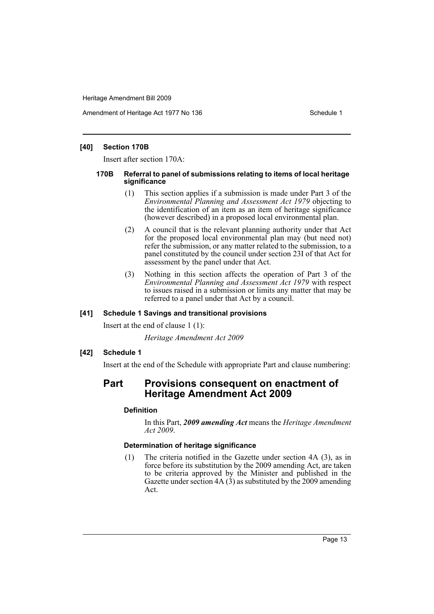Amendment of Heritage Act 1977 No 136 Schedule 1

## **[40] Section 170B**

Insert after section 170A:

#### **170B Referral to panel of submissions relating to items of local heritage significance**

- (1) This section applies if a submission is made under Part 3 of the *Environmental Planning and Assessment Act 1979* objecting to the identification of an item as an item of heritage significance (however described) in a proposed local environmental plan.
- (2) A council that is the relevant planning authority under that Act for the proposed local environmental plan may (but need not) refer the submission, or any matter related to the submission, to a panel constituted by the council under section 23I of that Act for assessment by the panel under that Act.
- (3) Nothing in this section affects the operation of Part 3 of the *Environmental Planning and Assessment Act 1979* with respect to issues raised in a submission or limits any matter that may be referred to a panel under that Act by a council.

# **[41] Schedule 1 Savings and transitional provisions**

Insert at the end of clause 1 (1):

*Heritage Amendment Act 2009*

# **[42] Schedule 1**

Insert at the end of the Schedule with appropriate Part and clause numbering:

# **Part Provisions consequent on enactment of Heritage Amendment Act 2009**

# **Definition**

In this Part, *2009 amending Act* means the *Heritage Amendment Act 2009*.

# **Determination of heritage significance**

(1) The criteria notified in the Gazette under section 4A (3), as in force before its substitution by the 2009 amending Act, are taken to be criteria approved by the Minister and published in the Gazette under section  $4A(3)$  as substituted by the 2009 amending Act.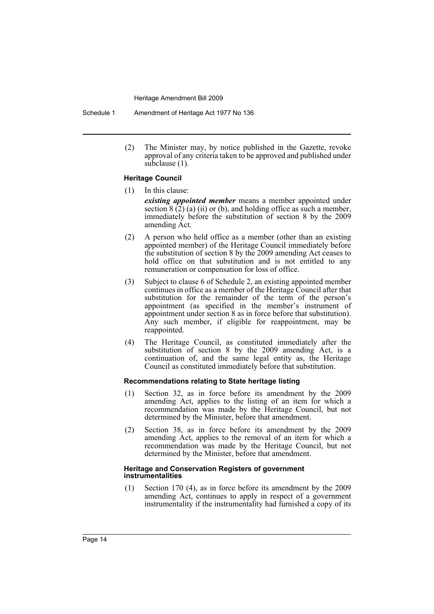Schedule 1 Amendment of Heritage Act 1977 No 136

(2) The Minister may, by notice published in the Gazette, revoke approval of any criteria taken to be approved and published under subclause (1).

#### **Heritage Council**

- (1) In this clause: *existing appointed member* means a member appointed under section  $8(2)$  (a) (ii) or (b), and holding office as such a member, immediately before the substitution of section 8 by the 2009 amending Act.
- (2) A person who held office as a member (other than an existing appointed member) of the Heritage Council immediately before the substitution of section 8 by the 2009 amending Act ceases to hold office on that substitution and is not entitled to any remuneration or compensation for loss of office.
- (3) Subject to clause 6 of Schedule 2, an existing appointed member continues in office as a member of the Heritage Council after that substitution for the remainder of the term of the person's appointment (as specified in the member's instrument of appointment under section 8 as in force before that substitution). Any such member, if eligible for reappointment, may be reappointed.
- (4) The Heritage Council, as constituted immediately after the substitution of section 8 by the 2009 amending Act, is a continuation of, and the same legal entity as, the Heritage Council as constituted immediately before that substitution.

#### **Recommendations relating to State heritage listing**

- (1) Section 32, as in force before its amendment by the 2009 amending Act, applies to the listing of an item for which a recommendation was made by the Heritage Council, but not determined by the Minister, before that amendment.
- (2) Section 38, as in force before its amendment by the 2009 amending Act, applies to the removal of an item for which a recommendation was made by the Heritage Council, but not determined by the Minister, before that amendment.

#### **Heritage and Conservation Registers of government instrumentalities**

(1) Section 170 (4), as in force before its amendment by the 2009 amending Act, continues to apply in respect of a government instrumentality if the instrumentality had furnished a copy of its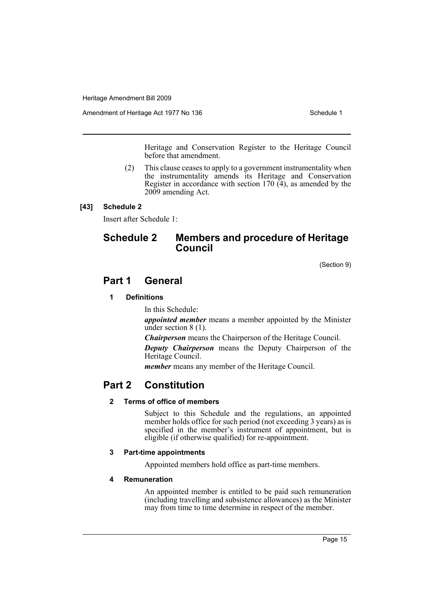Amendment of Heritage Act 1977 No 136 Schedule 1

Heritage and Conservation Register to the Heritage Council before that amendment.

(2) This clause ceases to apply to a government instrumentality when the instrumentality amends its Heritage and Conservation Register in accordance with section  $170 \, (4)$ , as amended by the 2009 amending Act.

# **[43] Schedule 2**

Insert after Schedule 1:

# **Schedule 2 Members and procedure of Heritage Council**

(Section 9)

# **Part 1 General**

# **1 Definitions**

In this Schedule:

*appointed member* means a member appointed by the Minister under section 8 (1).

*Chairperson* means the Chairperson of the Heritage Council.

*Deputy Chairperson* means the Deputy Chairperson of the Heritage Council.

*member* means any member of the Heritage Council.

# **Part 2 Constitution**

# **2 Terms of office of members**

Subject to this Schedule and the regulations, an appointed member holds office for such period (not exceeding 3 years) as is specified in the member's instrument of appointment, but is eligible (if otherwise qualified) for re-appointment.

# **3 Part-time appointments**

Appointed members hold office as part-time members.

# **4 Remuneration**

An appointed member is entitled to be paid such remuneration (including travelling and subsistence allowances) as the Minister may from time to time determine in respect of the member.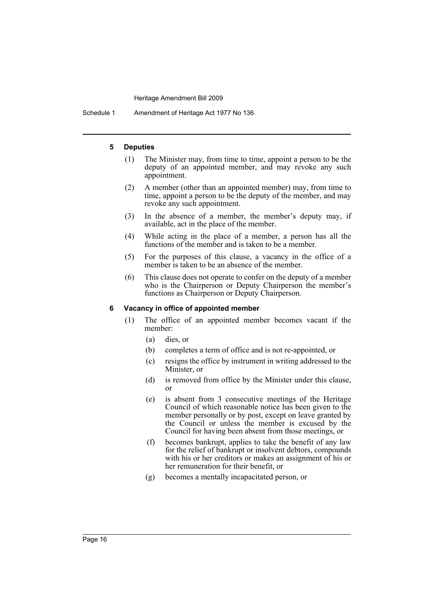Schedule 1 Amendment of Heritage Act 1977 No 136

#### **5 Deputies**

- (1) The Minister may, from time to time, appoint a person to be the deputy of an appointed member, and may revoke any such appointment.
- (2) A member (other than an appointed member) may, from time to time, appoint a person to be the deputy of the member, and may revoke any such appointment.
- (3) In the absence of a member, the member's deputy may, if available, act in the place of the member.
- (4) While acting in the place of a member, a person has all the functions of the member and is taken to be a member.
- (5) For the purposes of this clause, a vacancy in the office of a member is taken to be an absence of the member.
- (6) This clause does not operate to confer on the deputy of a member who is the Chairperson or Deputy Chairperson the member's functions as Chairperson or Deputy Chairperson.

#### **6 Vacancy in office of appointed member**

- (1) The office of an appointed member becomes vacant if the member:
	- (a) dies, or
	- (b) completes a term of office and is not re-appointed, or
	- (c) resigns the office by instrument in writing addressed to the Minister, or
	- (d) is removed from office by the Minister under this clause, or
	- (e) is absent from 3 consecutive meetings of the Heritage Council of which reasonable notice has been given to the member personally or by post, except on leave granted by the Council or unless the member is excused by the Council for having been absent from those meetings, or
	- (f) becomes bankrupt, applies to take the benefit of any law for the relief of bankrupt or insolvent debtors, compounds with his or her creditors or makes an assignment of his or her remuneration for their benefit, or
	- (g) becomes a mentally incapacitated person, or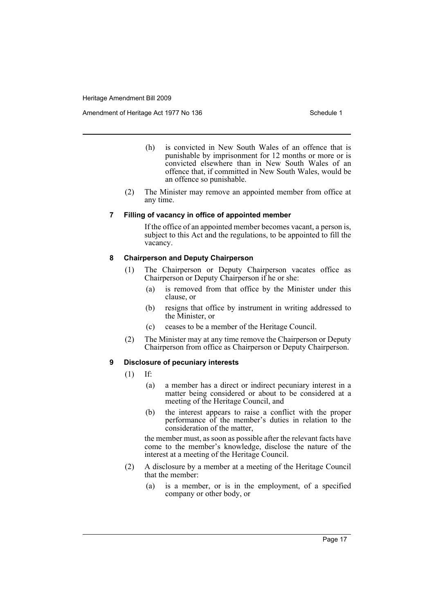Amendment of Heritage Act 1977 No 136 Schedule 1

- (h) is convicted in New South Wales of an offence that is punishable by imprisonment for 12 months or more or is convicted elsewhere than in New South Wales of an offence that, if committed in New South Wales, would be an offence so punishable.
- (2) The Minister may remove an appointed member from office at any time.

#### **7 Filling of vacancy in office of appointed member**

If the office of an appointed member becomes vacant, a person is, subject to this Act and the regulations, to be appointed to fill the vacancy.

#### **8 Chairperson and Deputy Chairperson**

- (1) The Chairperson or Deputy Chairperson vacates office as Chairperson or Deputy Chairperson if he or she:
	- (a) is removed from that office by the Minister under this clause, or
	- (b) resigns that office by instrument in writing addressed to the Minister, or
	- (c) ceases to be a member of the Heritage Council.
- (2) The Minister may at any time remove the Chairperson or Deputy Chairperson from office as Chairperson or Deputy Chairperson.

#### **9 Disclosure of pecuniary interests**

- (1) If:
	- (a) a member has a direct or indirect pecuniary interest in a matter being considered or about to be considered at a meeting of the Heritage Council, and
	- (b) the interest appears to raise a conflict with the proper performance of the member's duties in relation to the consideration of the matter,

the member must, as soon as possible after the relevant facts have come to the member's knowledge, disclose the nature of the interest at a meeting of the Heritage Council.

- (2) A disclosure by a member at a meeting of the Heritage Council that the member:
	- (a) is a member, or is in the employment, of a specified company or other body, or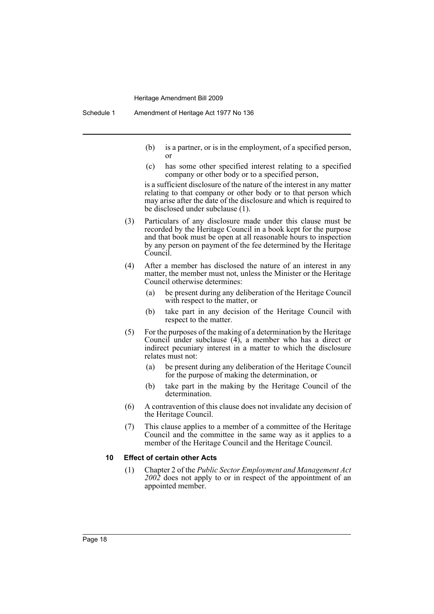- (b) is a partner, or is in the employment, of a specified person, or
- (c) has some other specified interest relating to a specified company or other body or to a specified person,

is a sufficient disclosure of the nature of the interest in any matter relating to that company or other body or to that person which may arise after the date of the disclosure and which is required to be disclosed under subclause (1).

- (3) Particulars of any disclosure made under this clause must be recorded by the Heritage Council in a book kept for the purpose and that book must be open at all reasonable hours to inspection by any person on payment of the fee determined by the Heritage Council.
- (4) After a member has disclosed the nature of an interest in any matter, the member must not, unless the Minister or the Heritage Council otherwise determines:
	- (a) be present during any deliberation of the Heritage Council with respect to the matter, or
	- (b) take part in any decision of the Heritage Council with respect to the matter.
- (5) For the purposes of the making of a determination by the Heritage Council under subclause (4), a member who has a direct or indirect pecuniary interest in a matter to which the disclosure relates must not:
	- (a) be present during any deliberation of the Heritage Council for the purpose of making the determination, or
	- (b) take part in the making by the Heritage Council of the determination.
- (6) A contravention of this clause does not invalidate any decision of the Heritage Council.
- (7) This clause applies to a member of a committee of the Heritage Council and the committee in the same way as it applies to a member of the Heritage Council and the Heritage Council.

#### **10 Effect of certain other Acts**

(1) Chapter 2 of the *Public Sector Employment and Management Act 2002* does not apply to or in respect of the appointment of an appointed member.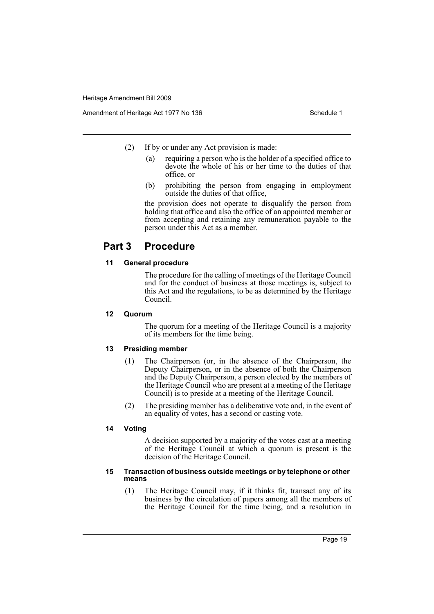- (2) If by or under any Act provision is made:
	- (a) requiring a person who is the holder of a specified office to devote the whole of his or her time to the duties of that office, or
	- (b) prohibiting the person from engaging in employment outside the duties of that office,

the provision does not operate to disqualify the person from holding that office and also the office of an appointed member or from accepting and retaining any remuneration payable to the person under this Act as a member.

# **Part 3 Procedure**

# **11 General procedure**

The procedure for the calling of meetings of the Heritage Council and for the conduct of business at those meetings is, subject to this Act and the regulations, to be as determined by the Heritage Council.

# **12 Quorum**

The quorum for a meeting of the Heritage Council is a majority of its members for the time being.

# **13 Presiding member**

- (1) The Chairperson (or, in the absence of the Chairperson, the Deputy Chairperson, or in the absence of both the Chairperson and the Deputy Chairperson, a person elected by the members of the Heritage Council who are present at a meeting of the Heritage Council) is to preside at a meeting of the Heritage Council.
- (2) The presiding member has a deliberative vote and, in the event of an equality of votes, has a second or casting vote.

#### **14 Voting**

A decision supported by a majority of the votes cast at a meeting of the Heritage Council at which a quorum is present is the decision of the Heritage Council.

#### **15 Transaction of business outside meetings or by telephone or other means**

(1) The Heritage Council may, if it thinks fit, transact any of its business by the circulation of papers among all the members of the Heritage Council for the time being, and a resolution in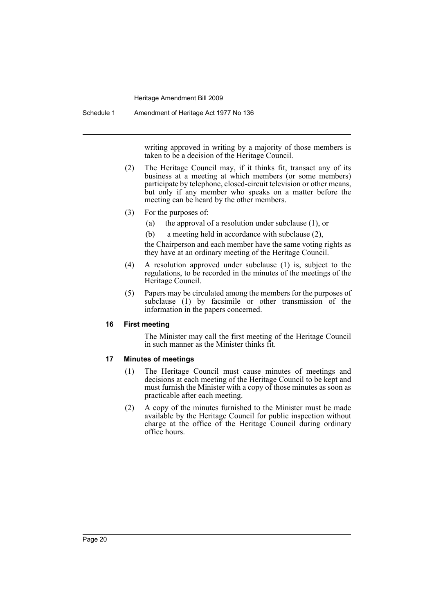Schedule 1 Amendment of Heritage Act 1977 No 136

writing approved in writing by a majority of those members is taken to be a decision of the Heritage Council.

- (2) The Heritage Council may, if it thinks fit, transact any of its business at a meeting at which members (or some members) participate by telephone, closed-circuit television or other means, but only if any member who speaks on a matter before the meeting can be heard by the other members.
- (3) For the purposes of:
	- (a) the approval of a resolution under subclause (1), or
	- (b) a meeting held in accordance with subclause (2),

the Chairperson and each member have the same voting rights as they have at an ordinary meeting of the Heritage Council.

- (4) A resolution approved under subclause (1) is, subject to the regulations, to be recorded in the minutes of the meetings of the Heritage Council.
- (5) Papers may be circulated among the members for the purposes of subclause (1) by facsimile or other transmission of the information in the papers concerned.

#### **16 First meeting**

The Minister may call the first meeting of the Heritage Council in such manner as the Minister thinks fit.

## **17 Minutes of meetings**

- (1) The Heritage Council must cause minutes of meetings and decisions at each meeting of the Heritage Council to be kept and must furnish the Minister with a copy of those minutes as soon as practicable after each meeting.
- (2) A copy of the minutes furnished to the Minister must be made available by the Heritage Council for public inspection without charge at the office of the Heritage Council during ordinary office hours.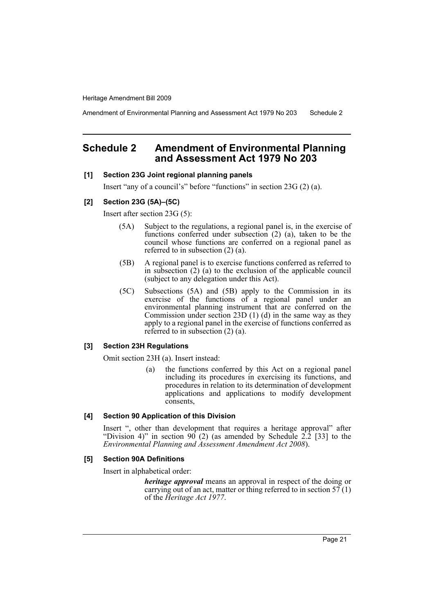Amendment of Environmental Planning and Assessment Act 1979 No 203 Schedule 2

# <span id="page-22-0"></span>**Schedule 2 Amendment of Environmental Planning and Assessment Act 1979 No 203**

#### **[1] Section 23G Joint regional planning panels**

Insert "any of a council's" before "functions" in section 23G (2) (a).

#### **[2] Section 23G (5A)–(5C)**

Insert after section 23G (5):

- (5A) Subject to the regulations, a regional panel is, in the exercise of functions conferred under subsection (2) (a), taken to be the council whose functions are conferred on a regional panel as referred to in subsection (2) (a).
- (5B) A regional panel is to exercise functions conferred as referred to in subsection (2) (a) to the exclusion of the applicable council (subject to any delegation under this Act).
- (5C) Subsections (5A) and (5B) apply to the Commission in its exercise of the functions of a regional panel under an environmental planning instrument that are conferred on the Commission under section 23D (1) (d) in the same way as they apply to a regional panel in the exercise of functions conferred as referred to in subsection (2) (a).

# **[3] Section 23H Regulations**

Omit section 23H (a). Insert instead:

(a) the functions conferred by this Act on a regional panel including its procedures in exercising its functions, and procedures in relation to its determination of development applications and applications to modify development consents,

#### **[4] Section 90 Application of this Division**

Insert ", other than development that requires a heritage approval" after "Division 4)" in section 90 (2) (as amended by Schedule  $2.\overline{2}$  [33] to the *Environmental Planning and Assessment Amendment Act 2008*).

#### **[5] Section 90A Definitions**

Insert in alphabetical order:

*heritage approval* means an approval in respect of the doing or carrying out of an act, matter or thing referred to in section  $57(1)$ of the *Heritage Act 1977*.